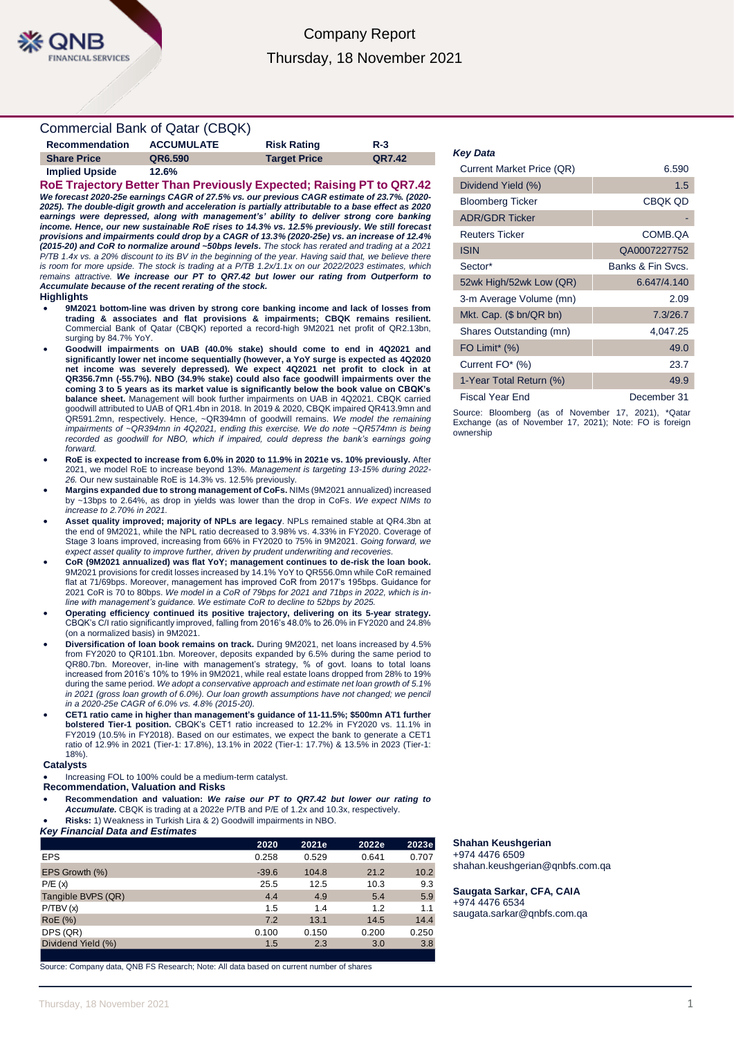# Company Report Thursday, 18 November 2021

## Commercial Bank of Qatar (CBQK)

| <b>Recommendation</b> | <b>ACCUMULATE</b> | <b>Risk Rating</b>  | $R-3$  |
|-----------------------|-------------------|---------------------|--------|
| <b>Share Price</b>    | QR6.590           | <b>Target Price</b> | QR7.42 |
| <b>Implied Upside</b> | 12.6%             |                     |        |

**RoE Trajectory Better Than Previously Expected; Raising PT to QR7.42** *We forecast 2020-25e earnings CAGR of 27.5% vs. our previous CAGR estimate of 23.7%. (2020- 2025). The double-digit growth and acceleration is partially attributable to a base effect as 2020 earnings were depressed, along with management's' ability to deliver strong core banking income. Hence, our new sustainable RoE rises to 14.3% vs. 12.5% previously. We still forecast provisions and impairments could drop by a CAGR of 13.3% (2020-25e) vs. an increase of 12.4% (2015-20) and CoR to normalize around ~50bps levels. The stock has rerated and trading at a 2021 P/TB 1.4x vs. a 20% discount to its BV in the beginning of the year. Having said that, we believe there is room for more upside. The stock is trading at a P/TB 1.2x/1.1x on our 2022/2023 estimates, which remains attractive. We increase our PT to QR7.42 but lower our rating from Outperform to Accumulate because of the recent rerating of the stock.*

### **Highlights**

- **9M2021 bottom-line was driven by strong core banking income and lack of losses from trading & associates and flat provisions & impairments; CBQK remains resilient.**  Commercial Bank of Qatar (CBQK) reported a record-high 9M2021 net profit of QR2.13bn, surging by 84.7% YoY.
- **Goodwill impairments on UAB (40.0% stake) should come to end in 4Q2021 and significantly lower net income sequentially (however, a YoY surge is expected as 4Q2020 net income was severely depressed). We expect 4Q2021 net profit to clock in at QR356.7mn (-55.7%). NBO (34.9% stake) could also face goodwill impairments over the coming 3 to 5 years as its market value is significantly below the book value on CBQK's balance sheet.** Management will book further impairments on UAB in 4Q2021. CBQK carried goodwill attributed to UAB of QR1.4bn in 2018. In 2019 & 2020, CBQK impaired QR413.9mn and QR591.2mn, respectively. Hence, ~QR394mn of goodwill remains. *We model the remaining impairments of ~QR394mn in 4Q2021, ending this exercise. We do note ~QR574mn is being*  recorded as goodwill for NBO, which if impaired, could depress the bank's earnings going *forward.*
- **RoE is expected to increase from 6.0% in 2020 to 11.9% in 2021e vs. 10% previously.** After 2021, we model RoE to increase beyond 13%. *Management is targeting 13-15% during 2022- 26.* Our new sustainable RoE is 14.3% vs. 12.5% previously.
- **Margins expanded due to strong management of CoFs.** NIMs (9M2021 annualized) increased by ~13bps to 2.64%, as drop in yields was lower than the drop in CoFs. *We expect NIMs to increase to 2.70% in 2021.*
- **Asset quality improved; majority of NPLs are legacy**. NPLs remained stable at QR4.3bn at the end of 9M2021, while the NPL ratio decreased to 3.98% vs. 4.33% in FY2020. Coverage of Stage 3 loans improved, increasing from 66% in FY2020 to 75% in 9M2021. *Going forward, we expect asset quality to improve further, driven by prudent underwriting and recoveries.*
- **CoR (9M2021 annualized) was flat YoY; management continues to de-risk the loan book.**  9M2021 provisions for credit losses increased by 14.1% YoY to QR556.0mn while CoR remained flat at 71/69bps. Moreover, management has improved CoR from 2017's 195bps. Guidance for 2021 CoR is 70 to 80bps. *We model in a CoR of 79bps for 2021 and 71bps in 2022, which is inline with management's guidance. We estimate CoR to decline to 52bps by 2025.*
- **Operating efficiency continued its positive trajectory, delivering on its 5-year strategy.** CBQK's C/I ratio significantly improved, falling from 2016's 48.0% to 26.0% in FY2020 and 24.8% (on a normalized basis) in 9M2021.
- **Diversification of loan book remains on track.** During 9M2021, net loans increased by 4.5% from FY2020 to QR101.1bn. Moreover, deposits expanded by 6.5% during the same period to QR80.7bn. Moreover, in-line with management's strategy, % of govt. loans to total loans increased from 2016's 10% to 19% in 9M2021, while real estate loans dropped from 28% to 19% during the same period. *We adopt a conservative approach and estimate net loan growth of 5.1% in 2021 (gross loan growth of 6.0%). Our loan growth assumptions have not changed; we pencil in a 2020-25e CAGR of 6.0% vs. 4.8% (2015-20).*
- **CET1 ratio came in higher than management's guidance of 11-11.5%; \$500mn AT1 further bolstered Tier-1 position.** CBQK's CET1 ratio increased to 12.2% in FY2020 vs. 11.1% in FY2019 (10.5% in FY2018). Based on our estimates, we expect the bank to generate a CET1 ratio of 12.9% in 2021 (Tier-1: 17.8%), 13.1% in 2022 (Tier-1: 17.7%) & 13.5% in 2023 (Tier-1: 18%).

### **Catalysts**

Increasing FOL to 100% could be a medium-term catalyst.

## **Recommendation, Valuation and Risks**

- **Recommendation and valuation:** *We raise our PT to QR7.42 but lower our rating to Accumulate.* CBQK is trading at a 2022e P/TB and P/E of 1.2x and 10.3x, respectively.
- **Risks:** 1) Weakness in Turkish Lira & 2) Goodwill impairments in NBO.
- *Key Financial Data and Estimates*

|                    | 2020    | 2021e | 2022e | 2023e |
|--------------------|---------|-------|-------|-------|
| <b>EPS</b>         | 0.258   | 0.529 | 0.641 | 0.707 |
| EPS Growth (%)     | $-39.6$ | 104.8 | 21.2  | 10.2  |
| P/E(x)             | 25.5    | 12.5  | 10.3  | 9.3   |
| Tangible BVPS (QR) | 4.4     | 4.9   | 5.4   | 5.9   |
| P/TBV(x)           | 1.5     | 1.4   | 1.2   | 1.1   |
| <b>RoE</b> (%)     | 7.2     | 13.1  | 14.5  | 14.4  |
| DPS (QR)           | 0.100   | 0.150 | 0.200 | 0.250 |
| Dividend Yield (%) | 1.5     | 2.3   | 3.0   | 3.8   |
|                    |         |       |       |       |

Source: Company data, QNB FS Research; Note: All data based on current number of shares

#### *Key Data*

| <b>Current Market Price (QR)</b> | 6.590             |
|----------------------------------|-------------------|
| Dividend Yield (%)               | 1.5               |
| <b>Bloomberg Ticker</b>          | <b>CBQK QD</b>    |
| <b>ADR/GDR Ticker</b>            |                   |
| <b>Reuters Ticker</b>            | COMB.QA           |
| <b>ISIN</b>                      | QA0007227752      |
| Sector*                          | Banks & Fin Sycs. |
| 52wk High/52wk Low (QR)          | 6.647/4.140       |
| 3-m Average Volume (mn)          | 2.09              |
| Mkt. Cap. (\$ bn/QR bn)          | 7.3/26.7          |
| Shares Outstanding (mn)          | 4,047.25          |
| FO Limit <sup>*</sup> $(\%)$     | 49.0              |
| Current FO* (%)                  | 23.7              |
| 1-Year Total Return (%)          | 49.9              |
| Fiscal Year End                  | December 31       |

Source: Bloomberg (as of November 17, 2021), \*Qatar Exchange (as of November 17, 2021); Note: FO is foreign ownership

#### **Shahan Keushgerian** +974 4476 6509

shahan.keushgerian@qnbfs.com.qa

**Saugata Sarkar, CFA, CAIA** +974 4476 6534 saugata.sarkar@qnbfs.com.qa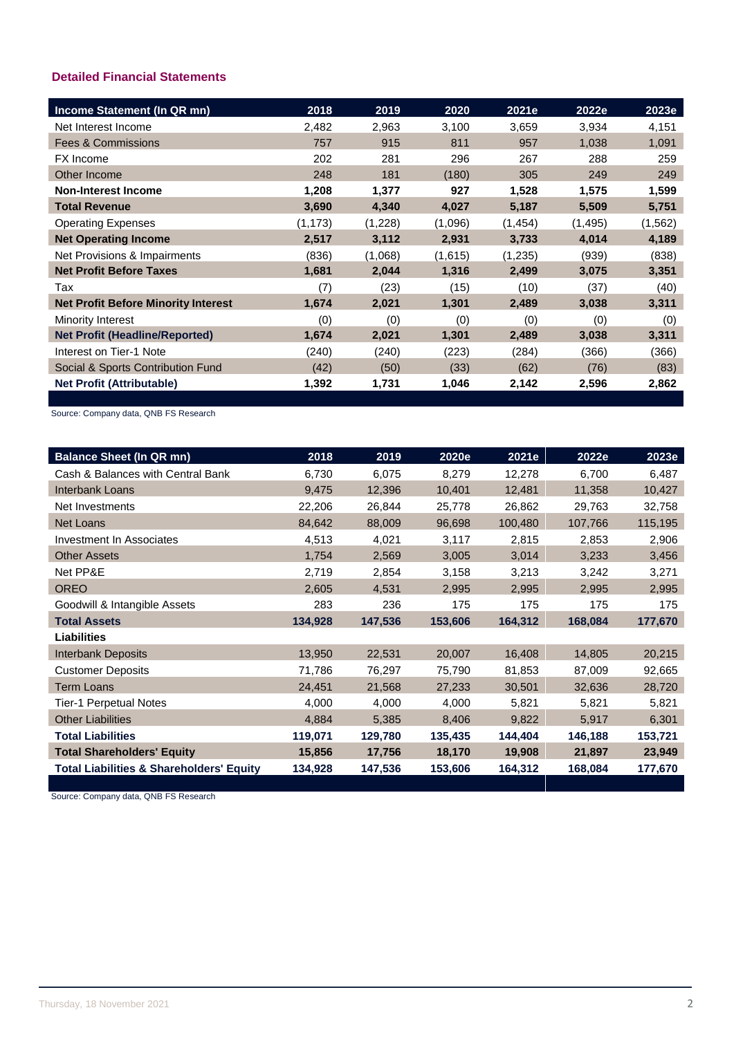# **Detailed Financial Statements**

| Income Statement (In QR mn)                | 2018     | 2019    | 2020    | 2021e    | 2022e    | 2023e    |
|--------------------------------------------|----------|---------|---------|----------|----------|----------|
| Net Interest Income                        | 2,482    | 2,963   | 3,100   | 3,659    | 3,934    | 4,151    |
| <b>Fees &amp; Commissions</b>              | 757      | 915     | 811     | 957      | 1,038    | 1,091    |
| FX Income                                  | 202      | 281     | 296     | 267      | 288      | 259      |
| Other Income                               | 248      | 181     | (180)   | 305      | 249      | 249      |
| <b>Non-Interest Income</b>                 | 1,208    | 1,377   | 927     | 1,528    | 1,575    | 1,599    |
| <b>Total Revenue</b>                       | 3,690    | 4,340   | 4,027   | 5,187    | 5,509    | 5,751    |
| <b>Operating Expenses</b>                  | (1, 173) | (1,228) | (1,096) | (1, 454) | (1, 495) | (1, 562) |
| <b>Net Operating Income</b>                | 2,517    | 3,112   | 2,931   | 3,733    | 4,014    | 4,189    |
| Net Provisions & Impairments               | (836)    | (1,068) | (1,615) | (1,235)  | (939)    | (838)    |
| <b>Net Profit Before Taxes</b>             | 1,681    | 2,044   | 1,316   | 2,499    | 3,075    | 3,351    |
| Tax                                        | (7)      | (23)    | (15)    | (10)     | (37)     | (40)     |
| <b>Net Profit Before Minority Interest</b> | 1,674    | 2,021   | 1,301   | 2,489    | 3,038    | 3,311    |
| Minority Interest                          | (0)      | (0)     | (0)     | (0)      | (0)      | (0)      |
| <b>Net Profit (Headline/Reported)</b>      | 1,674    | 2,021   | 1,301   | 2,489    | 3,038    | 3,311    |
| Interest on Tier-1 Note                    | (240)    | (240)   | (223)   | (284)    | (366)    | (366)    |
| Social & Sports Contribution Fund          | (42)     | (50)    | (33)    | (62)     | (76)     | (83)     |
| <b>Net Profit (Attributable)</b>           | 1,392    | 1,731   | 1,046   | 2,142    | 2,596    | 2,862    |

Source: Company data, QNB FS Research

| <b>Balance Sheet (In QR mn)</b>                     | 2018    | 2019    | 2020e   | 2021e   | 2022e   | 2023e   |
|-----------------------------------------------------|---------|---------|---------|---------|---------|---------|
| Cash & Balances with Central Bank                   | 6,730   | 6,075   | 8,279   | 12,278  | 6,700   | 6,487   |
| <b>Interbank Loans</b>                              | 9,475   | 12,396  | 10,401  | 12,481  | 11,358  | 10,427  |
| Net Investments                                     | 22,206  | 26,844  | 25,778  | 26,862  | 29,763  | 32,758  |
| Net Loans                                           | 84,642  | 88,009  | 96,698  | 100,480 | 107,766 | 115,195 |
| <b>Investment In Associates</b>                     | 4,513   | 4,021   | 3,117   | 2,815   | 2,853   | 2,906   |
| <b>Other Assets</b>                                 | 1,754   | 2,569   | 3,005   | 3,014   | 3,233   | 3,456   |
| Net PP&E                                            | 2,719   | 2,854   | 3,158   | 3,213   | 3,242   | 3,271   |
| <b>OREO</b>                                         | 2,605   | 4,531   | 2,995   | 2,995   | 2,995   | 2,995   |
| Goodwill & Intangible Assets                        | 283     | 236     | 175     | 175     | 175     | 175     |
| <b>Total Assets</b>                                 | 134,928 | 147,536 | 153,606 | 164,312 | 168,084 | 177,670 |
| <b>Liabilities</b>                                  |         |         |         |         |         |         |
| <b>Interbank Deposits</b>                           | 13,950  | 22,531  | 20,007  | 16,408  | 14,805  | 20,215  |
| <b>Customer Deposits</b>                            | 71,786  | 76,297  | 75,790  | 81,853  | 87,009  | 92,665  |
| <b>Term Loans</b>                                   | 24,451  | 21,568  | 27,233  | 30,501  | 32,636  | 28,720  |
| <b>Tier-1 Perpetual Notes</b>                       | 4,000   | 4,000   | 4,000   | 5,821   | 5,821   | 5,821   |
| <b>Other Liabilities</b>                            | 4,884   | 5,385   | 8,406   | 9,822   | 5,917   | 6,301   |
| <b>Total Liabilities</b>                            | 119,071 | 129,780 | 135,435 | 144,404 | 146,188 | 153,721 |
| <b>Total Shareholders' Equity</b>                   | 15,856  | 17,756  | 18,170  | 19,908  | 21,897  | 23,949  |
| <b>Total Liabilities &amp; Shareholders' Equity</b> | 134,928 | 147,536 | 153,606 | 164,312 | 168,084 | 177,670 |

Source: Company data, QNB FS Research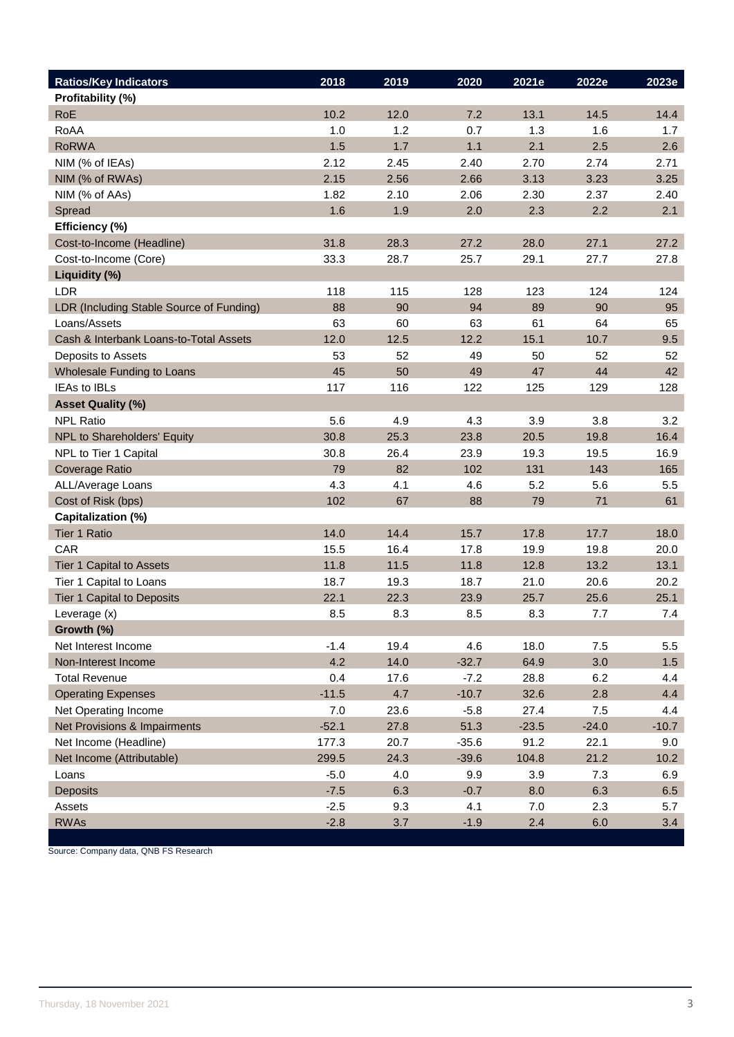| <b>Ratios/Key Indicators</b>             | 2018    | 2019 | 2020    | 2021e   | 2022e   | 2023e   |
|------------------------------------------|---------|------|---------|---------|---------|---------|
| Profitability (%)                        |         |      |         |         |         |         |
| RoE                                      | 10.2    | 12.0 | 7.2     | 13.1    | 14.5    | 14.4    |
| RoAA                                     | 1.0     | 1.2  | 0.7     | 1.3     | 1.6     | 1.7     |
| <b>RoRWA</b>                             | 1.5     | 1.7  | 1.1     | 2.1     | 2.5     | 2.6     |
| NIM (% of IEAs)                          | 2.12    | 2.45 | 2.40    | 2.70    | 2.74    | 2.71    |
| NIM (% of RWAs)                          | 2.15    | 2.56 | 2.66    | 3.13    | 3.23    | 3.25    |
| NIM (% of AAs)                           | 1.82    | 2.10 | 2.06    | 2.30    | 2.37    | 2.40    |
| Spread                                   | 1.6     | 1.9  | 2.0     | 2.3     | 2.2     | 2.1     |
| Efficiency (%)                           |         |      |         |         |         |         |
| Cost-to-Income (Headline)                | 31.8    | 28.3 | 27.2    | 28.0    | 27.1    | 27.2    |
| Cost-to-Income (Core)                    | 33.3    | 28.7 | 25.7    | 29.1    | 27.7    | 27.8    |
| Liquidity (%)                            |         |      |         |         |         |         |
| <b>LDR</b>                               | 118     | 115  | 128     | 123     | 124     | 124     |
| LDR (Including Stable Source of Funding) | 88      | 90   | 94      | 89      | 90      | 95      |
| Loans/Assets                             | 63      | 60   | 63      | 61      | 64      | 65      |
| Cash & Interbank Loans-to-Total Assets   | 12.0    | 12.5 | 12.2    | 15.1    | 10.7    | 9.5     |
| Deposits to Assets                       | 53      | 52   | 49      | 50      | 52      | 52      |
| Wholesale Funding to Loans               | 45      | 50   | 49      | 47      | 44      | 42      |
| <b>IEAs to IBLs</b>                      | 117     | 116  | 122     | 125     | 129     | 128     |
| <b>Asset Quality (%)</b>                 |         |      |         |         |         |         |
| <b>NPL Ratio</b>                         | 5.6     | 4.9  | 4.3     | 3.9     | 3.8     | 3.2     |
| NPL to Shareholders' Equity              | 30.8    | 25.3 | 23.8    | 20.5    | 19.8    | 16.4    |
| NPL to Tier 1 Capital                    | 30.8    | 26.4 | 23.9    | 19.3    | 19.5    | 16.9    |
| Coverage Ratio                           | 79      | 82   | 102     | 131     | 143     | 165     |
| ALL/Average Loans                        | 4.3     | 4.1  | 4.6     | 5.2     | 5.6     | 5.5     |
| Cost of Risk (bps)                       | 102     | 67   | 88      | 79      | 71      | 61      |
| Capitalization (%)                       |         |      |         |         |         |         |
| <b>Tier 1 Ratio</b>                      | 14.0    | 14.4 | 15.7    | 17.8    | 17.7    | 18.0    |
| CAR                                      | 15.5    | 16.4 | 17.8    | 19.9    | 19.8    | 20.0    |
| Tier 1 Capital to Assets                 | 11.8    | 11.5 | 11.8    | 12.8    | 13.2    | 13.1    |
| Tier 1 Capital to Loans                  | 18.7    | 19.3 | 18.7    | 21.0    | 20.6    | 20.2    |
| Tier 1 Capital to Deposits               | 22.1    | 22.3 | 23.9    | 25.7    | 25.6    | 25.1    |
| Leverage (x)                             | 8.5     | 8.3  | 8.5     | 8.3     | 7.7     | 7.4     |
| Growth (%)                               |         |      |         |         |         |         |
| Net Interest Income                      | $-1.4$  | 19.4 | 4.6     | 18.0    | 7.5     | $5.5\,$ |
| Non-Interest Income                      | 4.2     | 14.0 | $-32.7$ | 64.9    | 3.0     | 1.5     |
| <b>Total Revenue</b>                     | 0.4     | 17.6 | $-7.2$  | 28.8    | 6.2     | 4.4     |
| <b>Operating Expenses</b>                | $-11.5$ | 4.7  | $-10.7$ | 32.6    | 2.8     | 4.4     |
| Net Operating Income                     | 7.0     | 23.6 | $-5.8$  | 27.4    | 7.5     | 4.4     |
| Net Provisions & Impairments             | $-52.1$ | 27.8 | 51.3    | $-23.5$ | $-24.0$ | $-10.7$ |
| Net Income (Headline)                    | 177.3   | 20.7 | $-35.6$ | 91.2    | 22.1    | 9.0     |
| Net Income (Attributable)                | 299.5   | 24.3 | $-39.6$ | 104.8   | 21.2    | 10.2    |
| Loans                                    | $-5.0$  | 4.0  | 9.9     | 3.9     | 7.3     | 6.9     |
| <b>Deposits</b>                          | $-7.5$  | 6.3  | $-0.7$  | 8.0     | 6.3     | 6.5     |
| Assets                                   | $-2.5$  | 9.3  | 4.1     | 7.0     | 2.3     | 5.7     |
| <b>RWAs</b>                              | $-2.8$  | 3.7  | $-1.9$  | 2.4     | 6.0     | 3.4     |

Source: Company data, QNB FS Research